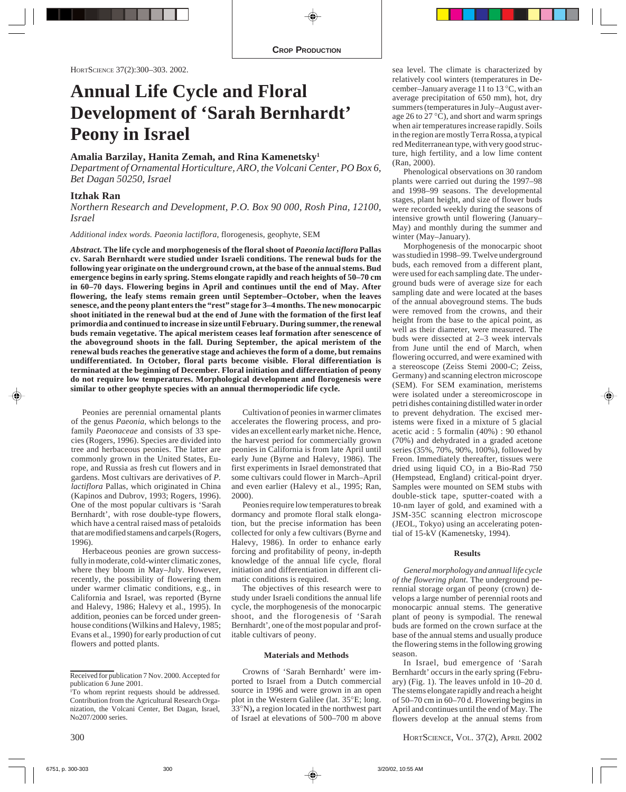# **Annual Life Cycle and Floral Development of 'Sarah Bernhardt' Peony in Israel**

# **Amalia Barzilay, Hanita Zemah, and Rina Kamenetsky1**

*Department of Ornamental Horticulture, ARO, the Volcani Center, PO Box 6, Bet Dagan 50250, Israel*

# **Itzhak Ran**

*Northern Research and Development, P.O. Box 90 000, Rosh Pina, 12100, Israel*

*Additional index words. Paeonia lactiflora*, florogenesis, geophyte, SEM

*Abstract.* **The life cycle and morphogenesis of the floral shoot of** *Paeonia lactiflora* **Pallas cv. Sarah Bernhardt were studied under Israeli conditions. The renewal buds for the following year originate on the underground crown, at the base of the annual stems. Bud emergence begins in early spring. Stems elongate rapidly and reach heights of 50–70 cm in 60–70 days. Flowering begins in April and continues until the end of May. After flowering, the leafy stems remain green until September–October, when the leaves senesce, and the peony plant enters the "rest" stage for 3–4 months. The new monocarpic shoot initiated in the renewal bud at the end of June with the formation of the first leaf primordia and continued to increase in size until February. During summer, the renewal buds remain vegetative. The apical meristem ceases leaf formation after senescence of the aboveground shoots in the fall. During September, the apical meristem of the renewal buds reaches the generative stage and achieves the form of a dome, but remains undifferentiated. In October, floral parts become visible. Floral differentiation is terminated at the beginning of December. Floral initiation and differentiation of peony do not require low temperatures. Morphological development and florogenesis were similar to other geophyte species with an annual thermoperiodic life cycle.**

Peonies are perennial ornamental plants of the genus *Paeonia,* which belongs to the family *Paeonaceae* and consists of 33 species (Rogers, 1996). Species are divided into tree and herbaceous peonies. The latter are commonly grown in the United States, Europe, and Russia as fresh cut flowers and in gardens. Most cultivars are derivatives of *P. lactiflora* Pallas, which originated in China (Kapinos and Dubrov, 1993; Rogers, 1996). One of the most popular cultivars is 'Sarah Bernhardt', with rose double-type flowers, which have a central raised mass of petaloids that are modified stamens and carpels (Rogers, 1996).

Herbaceous peonies are grown successfully in moderate, cold-winter climatic zones, where they bloom in May–July. However, recently, the possibility of flowering them under warmer climatic conditions, e.g., in California and Israel, was reported (Byrne and Halevy, 1986; Halevy et al., 1995). In addition, peonies can be forced under greenhouse conditions (Wilkins and Halevy, 1985; Evans et al., 1990) for early production of cut flowers and potted plants.

Cultivation of peonies in warmer climates accelerates the flowering process, and provides an excellent early market niche. Hence, the harvest period for commercially grown peonies in California is from late April until early June (Byrne and Halevy, 1986). The first experiments in Israel demonstrated that some cultivars could flower in March–April and even earlier (Halevy et al., 1995; Ran, 2000).

Peonies require low temperatures to break dormancy and promote floral stalk elongation, but the precise information has been collected for only a few cultivars (Byrne and Halevy, 1986). In order to enhance early forcing and profitability of peony, in-depth knowledge of the annual life cycle, floral initiation and differentiation in different climatic conditions is required.

The objectives of this research were to study under Israeli conditions the annual life cycle, the morphogenesis of the monocarpic shoot, and the florogenesis of 'Sarah Bernhardt', one of the most popular and profitable cultivars of peony.

#### **Materials and Methods**

Crowns of 'Sarah Bernhardt' were imported to Israel from a Dutch commercial source in 1996 and were grown in an open plot in the Western Galilee (lat. 35°E; long. 33°N)**,** a region located in the northwest part of Israel at elevations of 500–700 m above

sea level. The climate is characterized by relatively cool winters (temperatures in December–January average 11 to 13 °C, with an average precipitation of 650 mm), hot, dry summers (temperatures in July–August average 26 to 27 °C), and short and warm springs when air temperatures increase rapidly. Soils in the region are mostly Terra Rossa, a typical red Mediterranean type, with very good structure, high fertility, and a low lime content (Ran, 2000).

Phenological observations on 30 random plants were carried out during the 1997–98 and 1998–99 seasons. The developmental stages, plant height, and size of flower buds were recorded weekly during the seasons of intensive growth until flowering (January– May) and monthly during the summer and winter (May–January).

Morphogenesis of the monocarpic shoot was studied in 1998–99. Twelve underground buds, each removed from a different plant, were used for each sampling date. The underground buds were of average size for each sampling date and were located at the bases of the annual aboveground stems. The buds were removed from the crowns, and their height from the base to the apical point, as well as their diameter, were measured. The buds were dissected at 2–3 week intervals from June until the end of March, when flowering occurred, and were examined with a stereoscope (Zeiss Stemi 2000-C; Zeiss, Germany) and scanning electron microscope (SEM). For SEM examination, meristems were isolated under a stereomicroscope in petri dishes containing distilled water in order to prevent dehydration. The excised meristems were fixed in a mixture of 5 glacial acetic acid : 5 formalin (40%) : 90 ethanol (70%) and dehydrated in a graded acetone series (35%, 70%, 90%, 100%), followed by Freon. Immediately thereafter, tissues were dried using liquid  $CO<sub>2</sub>$  in a Bio-Rad 750 (Hempstead, England) critical-point dryer. Samples were mounted on SEM stubs with double-stick tape, sputter-coated with a 10-nm layer of gold, and examined with a JSM-35C scanning electron microscope (JEOL, Tokyo) using an accelerating potential of 15-kV (Kamenetsky, 1994).

## **Results**

*General morphology and annual life cycle of the flowering plant.* The underground perennial storage organ of peony (crown) develops a large number of perennial roots and monocarpic annual stems. The generative plant of peony is sympodial. The renewal buds are formed on the crown surface at the base of the annual stems and usually produce the flowering stems in the following growing season.

In Israel, bud emergence of 'Sarah Bernhardt' occurs in the early spring (February) (Fig. 1). The leaves unfold in 10–20 d. The stems elongate rapidly and reach a height of 50–70 cm in 60–70 d. Flowering begins in April and continues until the end of May. The flowers develop at the annual stems from

Received for publication 7 Nov. 2000. Accepted for publication 6 June 2001.

<sup>1</sup> To whom reprint requests should be addressed. Contribution from the Agricultural Research Organization, the Volcani Center, Bet Dagan, Israel, No207/2000 series.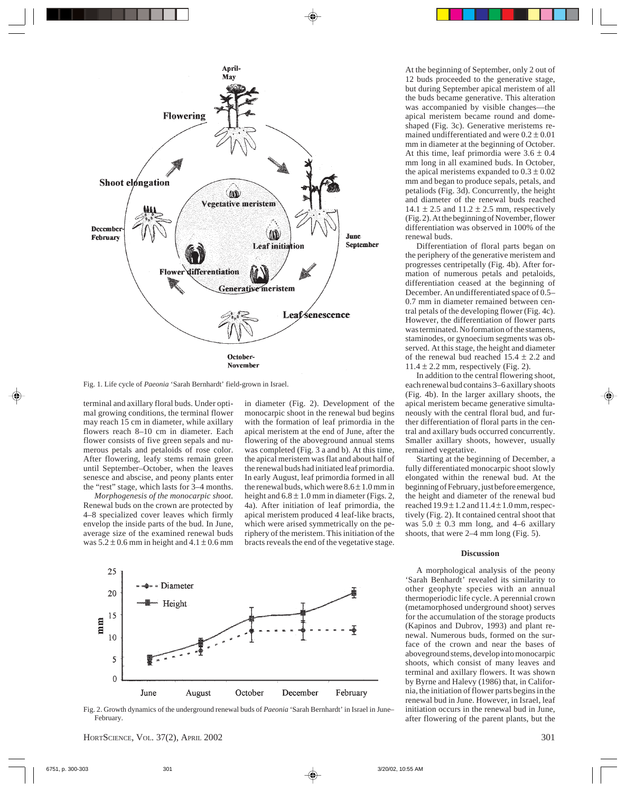

Fig. 1. Life cycle of *Paeonia* 'Sarah Bernhardt' field-grown in Israel.

terminal and axillary floral buds. Under optimal growing conditions, the terminal flower may reach 15 cm in diameter, while axillary flowers reach 8–10 cm in diameter. Each flower consists of five green sepals and numerous petals and petaloids of rose color. After flowering, leafy stems remain green until September–October, when the leaves senesce and abscise, and peony plants enter the "rest" stage, which lasts for 3–4 months.

*Morphogenesis of the monocarpic shoot.* Renewal buds on the crown are protected by 4–8 specialized cover leaves which firmly envelop the inside parts of the bud. In June, average size of the examined renewal buds was  $5.2 \pm 0.6$  mm in height and  $4.1 \pm 0.6$  mm in diameter (Fig. 2). Development of the monocarpic shoot in the renewal bud begins with the formation of leaf primordia in the apical meristem at the end of June, after the flowering of the aboveground annual stems was completed (Fig. 3 a and b). At this time, the apical meristem was flat and about half of the renewal buds had initiated leaf primordia. In early August, leaf primordia formed in all the renewal buds, which were  $8.6 \pm 1.0$  mm in height and  $6.8 \pm 1.0$  mm in diameter (Figs. 2, 4a). After initiation of leaf primordia, the apical meristem produced 4 leaf-like bracts, which were arised symmetrically on the periphery of the meristem. This initiation of the bracts reveals the end of the vegetative stage.



Fig. 2. Growth dynamics of the underground renewal buds of *Paeonia* 'Sarah Bernhardt' in Israel in June– February.

At the beginning of September, only 2 out of 12 buds proceeded to the generative stage, but during September apical meristem of all the buds became generative. This alteration was accompanied by visible changes—the apical meristem became round and domeshaped (Fig. 3c). Generative meristems remained undifferentiated and were  $0.2 \pm 0.01$ mm in diameter at the beginning of October. At this time, leaf primordia were  $3.6 \pm 0.4$ mm long in all examined buds. In October, the apical meristems expanded to  $0.3 \pm 0.02$ mm and began to produce sepals, petals, and petaliods (Fig. 3d). Concurrently, the height and diameter of the renewal buds reached 14.1  $\pm$  2.5 and 11.2  $\pm$  2.5 mm, respectively (Fig. 2). At the beginning of November, flower differentiation was observed in 100% of the renewal buds.

Differentiation of floral parts began on the periphery of the generative meristem and progresses centripetally (Fig. 4b). After formation of numerous petals and petaloids, differentiation ceased at the beginning of December. An undifferentiated space of 0.5– 0.7 mm in diameter remained between central petals of the developing flower (Fig. 4c). However, the differentiation of flower parts was terminated. No formation of the stamens, staminodes, or gynoecium segments was observed. At this stage, the height and diameter of the renewal bud reached  $15.4 \pm 2.2$  and  $11.4 \pm 2.2$  mm, respectively (Fig. 2).

In addition to the central flowering shoot, each renewal bud contains 3–6 axillary shoots (Fig. 4b). In the larger axillary shoots, the apical meristem became generative simultaneously with the central floral bud, and further differentiation of floral parts in the central and axillary buds occurred concurrently. Smaller axillary shoots, however, usually remained vegetative.

Starting at the beginning of December, a fully differentiated monocarpic shoot slowly elongated within the renewal bud. At the beginning of February, just before emergence, the height and diameter of the renewal bud reached  $19.9 \pm 1.2$  and  $11.4 \pm 1.0$  mm, respectively (Fig. 2). It contained central shoot that was  $5.0 \pm 0.3$  mm long, and 4–6 axillary shoots, that were 2–4 mm long (Fig. 5).

## **Discussion**

A morphological analysis of the peony 'Sarah Benhardt' revealed its similarity to other geophyte species with an annual thermoperiodic life cycle. A perennial crown (metamorphosed underground shoot) serves for the accumulation of the storage products (Kapinos and Dubrov, 1993) and plant renewal. Numerous buds, formed on the surface of the crown and near the bases of aboveground stems, develop into monocarpic shoots, which consist of many leaves and terminal and axillary flowers. It was shown by Byrne and Halevy (1986) that, in California, the initiation of flower parts begins in the renewal bud in June. However, in Israel, leaf initiation occurs in the renewal bud in June, after flowering of the parent plants, but the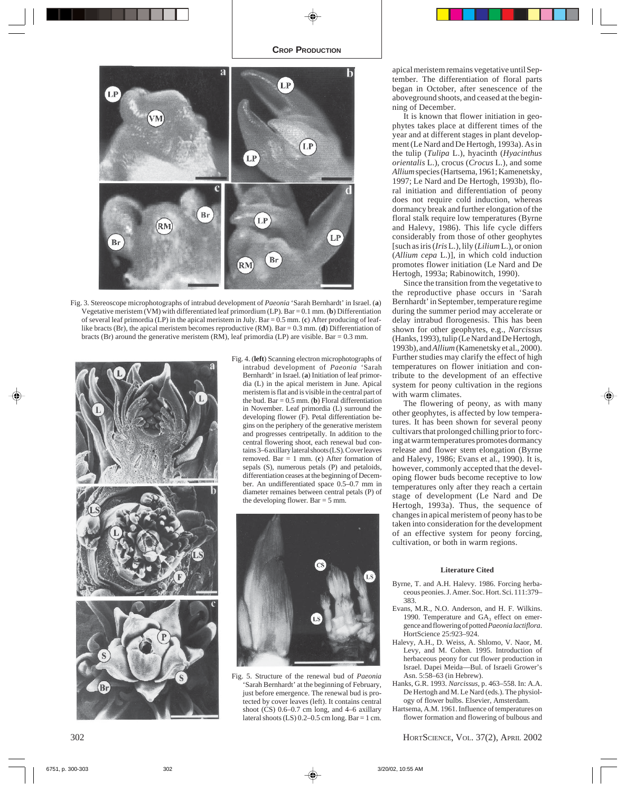

Fig. 3. Stereoscope microphotographs of intrabud development of *Paeonia* 'Sarah Bernhardt' in Israel. (**a**) Vegetative meristem (VM) with differentiated leaf primordium (LP). Bar = 0.1 mm. (**b**) Differentiation of several leaf primordia (LP) in the apical meristem in July. Bar = 0.5 mm. (**c**) After producing of leaflike bracts (Br), the apical meristem becomes reproductive (RM). Bar = 0.3 mm. (**d**) Differentiation of bracts (Br) around the generative meristem (RM), leaf primordia (LP) are visible. Bar = 0.3 mm.



Fig. 4. (**left**) Scanning electron microphotographs of intrabud development of *Paeonia* 'Sarah Bernhardt' in Israel. (**a**) Initiation of leaf primordia (L) in the apical meristem in June. Apical meristem is flat and is visible in the central part of the bud. Bar  $= 0.5$  mm. (**b**) Floral differentiation in November. Leaf primordia (L) surround the developing flower (F). Petal differentiation begins on the periphery of the generative meristem and progresses centripetally. In addition to the central flowering shoot, each renewal bud contains 3–6 axillary lateral shoots (LS). Cover leaves removed. Bar = 1 mm. (**c**) After formation of sepals (S), numerous petals (P) and petaloids, differentiation ceases at the beginning of December. An undifferentiated space 0.5–0.7 mm in diameter remaines between central petals (P) of the developing flower. Bar = 5 mm.



Fig. 5. Structure of the renewal bud of *Paeonia* 'Sarah Bernhardt' at the beginning of February, just before emergence. The renewal bud is protected by cover leaves (left). It contains central shoot (CS) 0.6–0.7 cm long, and 4–6 axillary lateral shoots  $(LS)$  0.2–0.5 cm long. Bar = 1 cm.

apical meristem remains vegetative until September. The differentiation of floral parts began in October, after senescence of the aboveground shoots, and ceased at the beginning of December.

It is known that flower initiation in geophytes takes place at different times of the year and at different stages in plant development (Le Nard and De Hertogh, 1993a). As in the tulip (*Tulipa* L.), hyacinth (*Hyacinthus orientalis* L.), crocus (*Crocus* L.), and some *Allium* species (Hartsema, 1961; Kamenetsky, 1997; Le Nard and De Hertogh, 1993b), floral initiation and differentiation of peony does not require cold induction, whereas dormancy break and further elongation of the floral stalk require low temperatures (Byrne and Halevy, 1986). This life cycle differs considerably from those of other geophytes [such as iris (*Iris* L.), lily (*Lilium* L.), or onion (*Allium cepa* L.)], in which cold induction promotes flower initiation (Le Nard and De Hertogh, 1993a; Rabinowitch, 1990).

Since the transition from the vegetative to the reproductive phase occurs in 'Sarah Bernhardt' in September, temperature regime during the summer period may accelerate or delay intrabud florogenesis. This has been shown for other geophytes, e.g., *Narcissus* (Hanks, 1993), tulip (Le Nard and De Hertogh, 1993b), and *Allium* (Kamenetsky et al., 2000). Further studies may clarify the effect of high temperatures on flower initiation and contribute to the development of an effective system for peony cultivation in the regions with warm climates.

The flowering of peony, as with many other geophytes, is affected by low temperatures. It has been shown for several peony cultivars that prolonged chilling prior to forcing at warm temperatures promotes dormancy release and flower stem elongation (Byrne and Halevy, 1986; Evans et al., 1990). It is, however, commonly accepted that the developing flower buds become receptive to low temperatures only after they reach a certain stage of development (Le Nard and De Hertogh, 1993a). Thus, the sequence of changes in apical meristem of peony has to be taken into consideration for the development of an effective system for peony forcing, cultivation, or both in warm regions.

## **Literature Cited**

- Byrne, T. and A.H. Halevy. 1986. Forcing herbaceous peonies. J. Amer. Soc. Hort. Sci. 111:379– 383.
- Evans, M.R., N.O. Anderson, and H. F. Wilkins. 1990. Temperature and  $GA<sub>3</sub>$  effect on emergence and flowering of potted *Paeonia lactiflora*. HortScience 25:923–924.
- Halevy, A.H., D. Weiss, A. Shlomo, V. Naor, M. Levy, and M. Cohen. 1995. Introduction of herbaceous peony for cut flower production in Israel. Dapei Meida—Bul. of Israeli Grower's Asn. 5:58–63 (in Hebrew).
- Hanks, G.R. 1993. *Narcissus,* p. 463–558. In: A.A. De Hertogh and M. Le Nard (eds.). The physiology of flower bulbs. Elsevier, Amsterdam.
- Hartsema, A.M. 1961. Influence of temperatures on flower formation and flowering of bulbous and